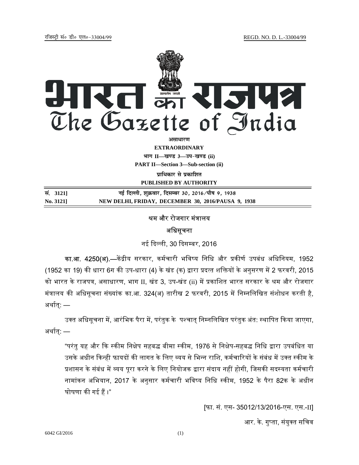

**EXTRAORDINARY Hkkx II—[k.M 3—mi&[k.M (ii) PART II—Section 3—Sub-section (ii) प्राधिकार से प्रकाशित PUBLISHED BY AUTHORITY**

**la- 3121] ubZ fnYyh] 'kqØokj] fnlEcj 30] 2016@ikS"k 9] 1938 No. 3121] NEW DELHI, FRIDAY, DECEMBER 30, 2016/PAUSA 9, 1938**

# श्रम और रोजगार मंत्रालय

## अधिसचना

नई दिल्ली, 30 दिसम्बर, 2016

का.<mark>आ. 4250(अ).—</mark>केंद्रीय सरकार, कर्मचारी भविष्य निधि और प्रकीर्ण उपबंध अधिनियम, 1952 (1952 का 19) की धारा 6ग की उप-धारा (4) के खंड (क) द्वारा प्रदत्त शक्तियों के अनुसरण में 2 फरवरी, 2015 को भारत के राजपत्र, असाधारण, भाग II, खंड 3, उप-खंड (ii) में प्रकाशित भारत सरकार के श्रम और रोजगार मंत्रालय की अधिसूचना संख्यांक का.आ. 324(अ) तारीख 2 फरवरी, 2015 में निम्नलिखित संशोधन करती है, अर्थात: —

उक्त अधिसूचना में, आरंभिक पैरा में, परंतुक के पश्चात् निम्नलिखित परंतुक अंत: स्थापित किया जाएगा, अर्थात्: —

"परंतु यह और कि स्कीम निक्षेप सहबद्ध बीमा स्कीम, 1976 से निक्षेप-सहबद्ध निधि द्वारा उपबंधित या उसके अधीन किन्ही फायदों की लागत के लिए व्यय से भिन्न राशि, कर्मचारियों के संबंध में उक्त स्कीम के प्रशासन के संबंध में व्यय पूरा करने के लिए नियोजक द्वारा संदाय नहीं होगी, जिसकी सदस्यता कर्मचारी नामांकन अभियान, 2017 के अनुसार कर्मचारी भविष्य निधि स्कीम, 1952 के पैरा 82क के अधीन घोषणा की गई हैं ।"

[फा. सं. एस- 35012/13/2016-एस. एस.-II]

आर. के. गुप्ता, संयुक्त सचिव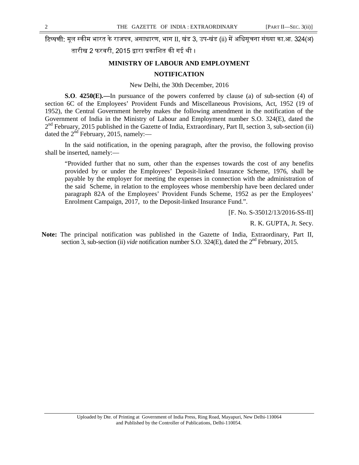टिप्पणी: मूल स्कीम भारत के राजपत्र, असाधारण, भाग II, खंड 3, उप-खंड (ii) में अधिसूचना संख्या का.आ. 324(अ)

तारीख 2 फरवरी, 2015 द्वारा प्रकाशित की गई थी ।

### **MINISTRY OF LABOUR AND EMPLOYMENT**

### **NOTIFICATION**

New Delhi, the 30th December, 2016

**S.O**. **4250(E).—**In pursuance of the powers conferred by clause (a) of sub-section (4) of section 6C of the Employees' Provident Funds and Miscellaneous Provisions, Act, 1952 (19 of 1952), the Central Government hereby makes the following amendment in the notification of the Government of India in the Ministry of Labour and Employment number S.O. 324(E), dated the 2<sup>nd</sup> February, 2015 published in the Gazette of India, Extraordinary, Part II, section 3, sub-section (ii) dated the  $2<sup>nd</sup>$  February, 2015, namely:—

In the said notification, in the opening paragraph, after the proviso, the following proviso shall be inserted, namely:––

"Provided further that no sum, other than the expenses towards the cost of any benefits provided by or under the Employees' Deposit-linked Insurance Scheme, 1976, shall be payable by the employer for meeting the expenses in connection with the administration of the said Scheme, in relation to the employees whose membership have been declared under paragraph 82A of the Employees' Provident Funds Scheme, 1952 as per the Employees' Enrolment Campaign, 2017, to the Deposit-linked Insurance Fund.".

[F. No. S-35012/13/2016-SS-II]

R. K. GUPTA, Jt. Secy.

**Note:** The principal notification was published in the Gazette of India, Extraordinary, Part II, section 3, sub-section (ii) *vide* notification number S.O. 324(E), dated the 2<sup>nd</sup> February, 2015.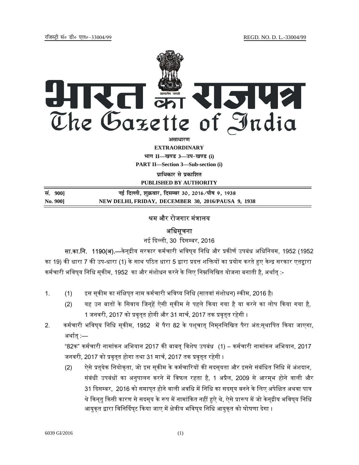

असाधा**र**ण

**EXTRAORDINARY Hkkx II—[k.M 3—mi&[k.M (i)**

**PART II—Section 3—Sub-section (i)** 

**प्राधिकार से प्रकाशित PUBLISHED BY AUTHORITY**

<u>Randal Booking of</u> the set of the set of the set of the set of the set of the set of the set of the set of the set of the set of the set of the set of the set of the set of the set of the set of the set of the set of the

**No. 900] NEW DELHI, FRIDAY, DECEMBER 30, 2016/PAUSA 9, 1938**

# श्रम और रोजगार मंत्रालय

# अधिसूचना

नई दिल्ली, 30 दिसम्बर, 2016

सा.का.नि. 1190(अ).—केन्द्रीय सरकार कर्मचारी भविष्य निधि और प्रकीर्ण उपबंध अधिनियम, 1952 (1952 का 19) की धारा 7 की उप-धारा (1) के साथ पठित धारा 5 द्वारा प्रदत्त शक्तियों का प्रयोग करते हुए केन्द्र सरकार एतद्वारा कर्मचारी भविष्य निधि सुकीम, 1952 का और संशोधन करने के लिए निम्नलिखित योजना बनाती है, अर्थात् :-

- 1. (1) इस स्कीम का संक्षिप्त नाम कर्मचारी भविष्य निधि (सातवां संशोधन) स्कीम, 2016 है।
	- (2) यह उन बातों के सिवाय जिन्हें ऐसी सुकीम से पहले किया गया है या करने का लोप किया गया है, 1 जनवरी, 2017 को प्रवृत्त होगी और 31 मार्च, 2017 तक प्रवृत्त रहेगी ।
- 2. कर्मचारी भविष्य निधि सुकीम, 1952 में पैरा 82 के पशुचात् निमुनलिखित पैरा अंत:सुथापित किया जाएगा, अर्थात् :—

"82क" कर्मचारी नामांकन अभियान 2017 की बाबत् विशेष उपबंध (1) – कर्मचारी नामांकन अभियान, 2017 जनवरी, 2017 को प्रवृत्त होगा तथा 31 मार्च, 2017 तक प्रवृत्त रहेगी ।

(2) ऐसे प्रत्येक नियोक्**ता, जो इस स्**कीम के कर्मचारियों की सदस्**यता और इससे संबंधित निधि में अंशदान**, संबंधी उपबंधों का अनुपालन करने में विफल रहता है, 1 अप्रैल, 2009 से आरम्भ होने वाली और 31 दिसम्बर, 2016 को समापत होने वाली अवधि में निधि का सदसुय बनने के लिए अपेक्षित अथवा पात्र थे किन्तु किसी कारण से सदस्य के रूप में नामांकित नहीं हुऐ थे, ऐसे प्रारूप में जो केन्द्रीय भविष्य निधि आयुकत द्वारा विनिर्दिषुट किया जाए में क्षेत्रीय भविषुय निधि आयुकत को घोषणा देगा ।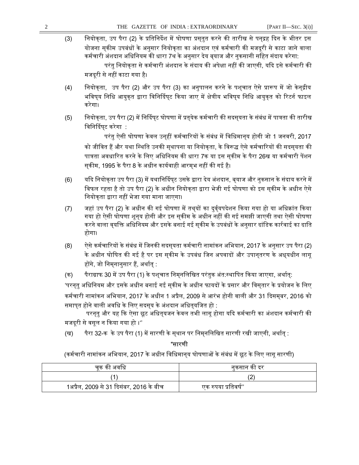| (3) | नियोक्ता, उप पैरा (2) के प्रतिनिर्देश में घोषणा प्रसुतुत करने की तारीख से पन्द्रह दिन के भीतर इस<br>योजना सुकीम उपबंधों के अनुसार नियोक्ता का अंशदान एवं कर्मचारी की मजदूरी से काटा जाने वाला<br>कर्मचारी अंशदान अधिनियम की धारा 7थ के अनुसार देय ब्याज और नुकसानी सहित संदाय करेगा:<br>परंतु नियोक्ता से कर्मचारी अंशदान के संदाय की अपेक्षा नहीं की जाएगी, यदि इसे कर्मचारी की<br>मजदूरी से नहीं काटा गया है।                                                                                       |
|-----|-------------------------------------------------------------------------------------------------------------------------------------------------------------------------------------------------------------------------------------------------------------------------------------------------------------------------------------------------------------------------------------------------------------------------------------------------------------------------------------------------------|
| (4) | नियोक्ता, उप पैरा (2) और उप पैरा (3) का अनुपालन करने के पश्चात ऐसे प्रारूप में जो केन्द्रीय<br>भविष्य निधि आयुक्त द्वारा विनिर्दिष्ट किया जाए में क्षेत्रीय भविष्य निधि आयुक्त को रिटर्न फाइल<br>करेगा।                                                                                                                                                                                                                                                                                               |
| (5) | नियोक्ता, उप पैरा (2) में निर्दिष्ट घोषणा में प्रत्येक कर्मचारी की सदस् <b>यता के संबंध में पात्रता की तारी</b> ख<br>विनिर्दिष्ट करेगा :<br>परंतु ऐसी घोषणा केवल उनुहीं कर्मचारियों के संबंध में विधिमान्य होगी जो 1 जनवरी, 2017<br>को जीवित हैं और यथा स्थिति उनकी स्थापना या नियोक्ता, के विरूद्ध ऐसे कर्मचारियों की सदस् <b>यता की</b><br>पात्रता अवधारित करने के लिए अधिनियम की धारा 7क या इस सुकीम के पैरा 26ख या कर्मचारी पेंशन<br>स्कीम, 1995 के पैरा 8 के अधीन कार्यवाही आरम्भ नहीं की गई है। |
| (6) | यदि नियोक्ता उप पैरा (3) में यथानिर्दिष्ट उसके द्वारा देय अंशदान, ब्याज और नुकसान के संदाय करने में<br>विफल रहता है तो उप पैरा (2) के अधीन नियोक्ता द्वारा भेजी गई घोषणा को इस स्कीम के अधीन ऐसे<br>नियोक्ता द्वारा नहीं भेजा गया माना जाएगा।                                                                                                                                                                                                                                                         |
| (7) | जहां उप पैरा (2) के अधीन की गई घोषणा में तथ्यों का दुर्व्यपदेशन किया गया हो या अधिक्रांत किया<br>गया हो ऐसी घोषणा शून्य होगी और इस सुकीम के अधीन नहीं की गई समझी जाएगी तथा ऐसी घोषणा<br>करने वाला व्यक्ति अधिनियम और इसके बनाई गई स्कीम के उपबंधों के अनुसार दांडिक कार्रवाई का दाति<br>होगा।                                                                                                                                                                                                         |
| (8) | ऐसे कर्मचारियों के संबंध में जिनकी सदस् $\overline{a}$ ता कर्मचारी नामांकन अभियान, 2017 के अनुसार उप पैरा (2)<br>के अधीन घोषित की गई है पर इस सुकीम के उपबंध जिन अपवादों और उपानुतरण के अध्यधीन लागू<br>होंगे, जो निम्नानुसार हैं, अर्थात् :                                                                                                                                                                                                                                                          |
| (क) | पैराग्राफ 30 में उप पैरा (1) के पश्चात निम्नलिखित परंतुक अंत:स्थापित किया जाएगा, अर्थात्:                                                                                                                                                                                                                                                                                                                                                                                                             |
|     | 'परन्तु अधिनियम और इसके अधीन बनाई गई स्कीम के अधीन फायदों के प्रसार और विस्तार के प्रयोजन के लिए                                                                                                                                                                                                                                                                                                                                                                                                      |
|     | कर्मचारी नामांकन अभियान, 2017 के अधीन 1 अप्रैल, 2009 से आरंभ होनी वाली और 31 दिसम्बर, 2016 को                                                                                                                                                                                                                                                                                                                                                                                                         |
|     |                                                                                                                                                                                                                                                                                                                                                                                                                                                                                                       |

समाप्त होने वाली अवधि के लिए सदस्**य के अंशदान अधित्**यजित हो : .<br>परन्तु और यह कि ऐसा छूट अधित्यजन केवल तभी लागू होगा यदि कर्मचारी का अंशदान कर्मचारी की मजदूरी से वसूल न ᳰकया गया हो ।''

(ख) पैरा 32-क के उप पैरा (1) में सारणी के स्थान पर निम्**नलिखित सारणी रखी जाएगी, अर्थात्** :

"सारणी

(कर्मचारी नामांकन अभियान, 2017 के अधीन विधिमान्य घोषणाओं के संबंध में छूट के लिए लागू सारणी)

| चक की अवधि                              | नकसान की दर         |
|-----------------------------------------|---------------------|
|                                         |                     |
| 1अप्रैल, 2009 से 31 दिसंबर, 2016 के बीच | एक रुपया प्रतिवर्ष" |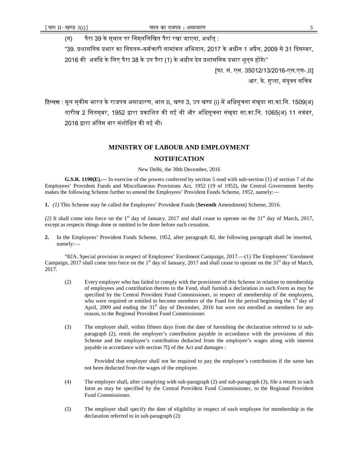(ग) पैरा 39 के सुथान पर निमुनलिखित पैरा रखा जाएगा, अर्थात् :

"39. प्रशासनिक प्रभार का नियतन–कर्मचारी नामांकन अभियान, 2017 के अधीन 1 अप्रैल, 2009 से 31 दिसम्बर, 2016 की अवधि के लिए पैरा 38 के उप पैरा (1) के अधीन देय प्रशासनिक प्रभार शुनय होंगे।"

> [फा. सं. एस. 35012/13/2016-एस.एस-.II] आर. के. गुप्ता, संयुक्त सचिव

टिप्पण : मूल सुकीम भारत के राजपत्र असाधारण, भाग II, खण्ड 3, उप खण्ड (i) में अधिसूचना संखुया सा.का.नि. 1509(अ) तारीख 2 सितमुबर, 1952 द्वारा प्रकाशित की गई थी और अधिसूचना संखुया सा.का.नि. 1065(अ) 11 नवंबर, 2016 द्वारा अंतिम बार संशोधित की गई थी।

#### **MINISTRY OF LABOUR AND EMPLOYMENT**

#### **NOTIFICATION**

New Delhi, the 30th December, 2016

**G.S.R. 1190(E).**— In exercise of the powers conferred by section 5 read with sub-section (1) of section 7 of the Employees' Provident Funds and Miscellaneous Provisions Act, 1952 (19 of 1952), the Central Government hereby makes the following Scheme further to amend the Employees' Provident Funds Scheme, 1952, namely:––

**1.** *(1)* This Scheme may be called the Employees' Provident Funds (**Seventh** Amendment) Scheme, 2016.

(2) It shall come into force on the 1<sup>st</sup> day of January, 2017 and shall cease to operate on the 31<sup>st</sup> day of March, 2017, except as respects things done or omitted to be done before such cessation.

**2.** In the Employees' Provident Funds Scheme, 1952, after paragraph 82, the following paragraph shall be inserted, namely:––

 "82A. Special provision in respect of Employees' Enrolment Campaign, 2017.––(1) The Employees' Enrolment Campaign, 2017 shall come into force on the 1<sup>st</sup> day of January, 2017 and shall cease to operate on the 31<sup>st</sup> day of March, 2017.

- (2) Every employer who has failed to comply with the provisions of this Scheme in relation to membership of employees and contribution thereto to the Fund, shall furnish a declaration in such Form as may be specified by the Central Provident Fund Commissioner, in respect of membership of the employees, who were required or entitled to become members of the Fund for the period beginning the  $1<sup>st</sup>$  day of April, 2009 and ending the 31<sup>st</sup> day of December, 2016 but were not enrolled as members for any reason, to the Regional Provident Fund Commissioner.
- (3) The employer shall, within fifteen days from the date of furnishing the declaration referred to in subparagraph (2), remit the employer's contribution payable in accordance with the provisions of this Scheme and the employee's contribution deducted from the employee's wages along with interest payable in accordance with section 7Q of the Act and damages :

Provided that employer shall not be required to pay the employee's contribution if the same has not been deducted from the wages of the employee.

- (4) The employer shall, after complying with sub-paragraph (2) and sub-paragraph (3), file a return in such form as may be specified by the Central Provident Fund Commissioner, to the Regional Provident Fund Commissioner.
- (5) The employer shall specify the date of eligibility in respect of each employee for membership in the declaration referred to in sub-paragraph (2):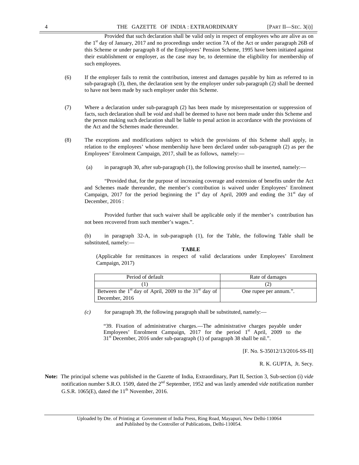Provided that such declaration shall be valid only in respect of employees who are alive as on the 1<sup>st</sup> day of January, 2017 and no proceedings under section 7A of the Act or under paragraph 26B of this Scheme or under paragraph 8 of the Employees' Pension Scheme, 1995 have been initiated against their establishment or employer, as the case may be, to determine the eligibility for membership of such employees.

- (6) If the employer fails to remit the contribution, interest and damages payable by him as referred to in sub-paragraph (3), then, the declaration sent by the employer under sub-paragraph (2) shall be deemed to have not been made by such employer under this Scheme.
- (7) Where a declaration under sub-paragraph (2) has been made by misrepresentation or suppression of facts, such declaration shall be *void* and shall be deemed to have not been made under this Scheme and the person making such declaration shall be liable to penal action in accordance with the provisions of the Act and the Schemes made thereunder.
- (8) The exceptions and modifications subject to which the provisions of this Scheme shall apply, in relation to the employees' whose membership have been declared under sub-paragraph (2) as per the Employees' Enrolment Campaign, 2017, shall be as follows, namely:––
	- (a) in paragraph 30, after sub-paragraph (1), the following proviso shall be inserted, namely:––

"Provided that, for the purpose of increasing coverage and extension of benefits under the Act and Schemes made thereunder, the member's contribution is waived under Employees' Enrolment Campaign, 2017 for the period beginning the  $1<sup>st</sup>$  day of April, 2009 and ending the 31<sup>st</sup> day of December, 2016 :

Provided further that such waiver shall be applicable only if the member's contribution has not been recovered from such member's wages.".

(b) in paragraph 32-A, in sub-paragraph (1), for the Table, the following Table shall be substituted, namely:––

#### **TABLE**

(Applicable for remittances in respect of valid declarations under Employees' Enrolment Campaign, 2017)

| Period of default                                                             | Rate of damages        |
|-------------------------------------------------------------------------------|------------------------|
|                                                                               |                        |
| Between the 1 <sup>st</sup> day of April, 2009 to the 31 <sup>st</sup> day of | One rupee per annum.". |
| December, $2016$                                                              |                        |

 $(c)$  for paragraph 39, the following paragraph shall be substituted, namely:—

"39. Fixation of administrative charges.––The administrative charges payable under Employees' Enrolment Campaign,  $2017$  for the period  $1<sup>st</sup>$  April,  $2009$  to the 31<sup>st</sup> December, 2016 under sub-paragraph (1) of paragraph 38 shall be nil.".

[F. No. S-35012/13/2016-SS-II]

R. K. GUPTA, Jt. Secy.

**Note:** The principal scheme was published in the Gazette of India, Extraordinary, Part II, Section 3, Sub-section (i) *vide* notification number S.R.O. 1509, dated the 2nd September, 1952 and was lastly amended *vide* notification number G.S.R. 1065(E), dated the  $11<sup>th</sup>$  November, 2016.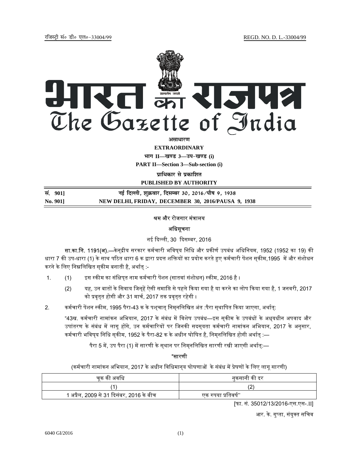

असाधार**ण** 

**EXTRAORDINARY**

 $\lim_{x \to \infty} \frac{1}{x}$  **II** and  $\lim_{x \to \infty} \frac{1}{x}$  and  $\lim_{x \to \infty} \frac{1}{x}$ **PART II—Section 3—Sub-section (i)** 

**प्राधिकार से प्रकाशित** 

**PUBLISHED BY AUTHORITY**

| सं. 9011 | नई दिल्ली, शुक्रवार, दिसम्बर 30, 2016 ∕पौष 9, 1938 |
|----------|----------------------------------------------------|
| No. 901  | NEW DELHI, FRIDAY, DECEMBER 30, 2016/PAUSA 9, 1938 |

### ᮰म और रोजगार मंᮢालय

### अधिसूचना

नई दिल्ली, 30 दिसम्बर, 2016

**सा.का.नि. 1191(अ).—**केनद्रीय सरकार कर्मचारी भविषय निधि और प्रकीर्ण उपबंध अधिनियम, 1952 (1952 का 19) की धारा 7 की उप-धारा (1) के साथ पठित धारा 6 क द्वारा प्रदत्त शक्तियों का प्रयोग करते हुए कर्मचारी पेंशन सुकीम,1995 में और संशोधन करने के लिए निम्नलिखित सुकीम बनाती है, अर्थात् :-

- 1. (1) इस स्कीम का संक्षिपत नाम कर्मचारी पेंशन (सातवां संशोधन) स्कीम, 2016 है ।
	- (2) यह, उन बातों के सिवाय जिन्हें ऐसी समाप्ति से पहले किया गया है या करने का लोप किया गया है, 1 जनवरी, 2017 को प्रवृत्त होगी और 31 मार्च, 2017 तक प्रवृत्त रहेगी ।
- 2. कर्मचारी पेंशन स्कीम, 1995 पैरा-43 क के पशचात् निमनलिखित अंत :पैरा सुथापित किया जाएगा, अर्थात्:

"43ख. कर्मचारी नामांकन अभियान, 2017 के संबंध में विशेष उपबंध—इस सकीम के उपबंधों के अधयधीन अपवाद और उपांतरण के संबंध में लागू होंगे, उन कर्मचारियों पर जिनकी सदस्**यता कर्मचारी नामांकन अभियान, 2017 के** अनुसार, कर्मचारी भविषय निधि सुकीम, 1952 के पैरा-82 क के अधीन घोषित है, निमुनलिखित होगी अर्थात् :—

पैरा 5 में, उप पैरा (1) में सारणी के सथान पर निमनलिखित सारणी रखी जाएगी अर्थात:—

### "सारणी

(कर्मचारी नामांकन अभियान, 2017 के अधीन विधिमान्य घोषणाओं के संबंध में प्रेषणों के लिए लागू सारणी)

| चक की अवधि                               | नकसानी की दर        |
|------------------------------------------|---------------------|
|                                          | ◟                   |
| 1 अप्रैल, 2009 से 31 दिसंबर, 2016 के बीच | एक रुपया प्रतिवर्ष" |

[फा. सं. 35012/13/2016-एस.एस-.II]

आर. के. गुप्ता, संयुक्त सचिव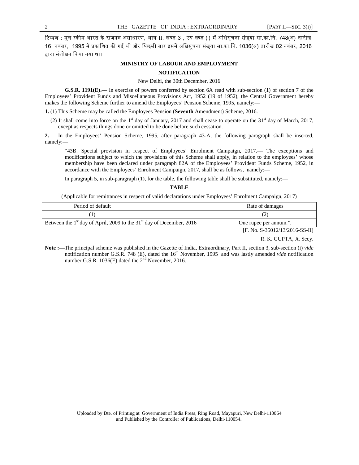टिप्पण : मूल स्कीम भारत के राजपत्र असाधारण, भाग II, खण्ड 3 , उप ख्ण्ड (i) में अधिसूचना संख्**या सा.का.नि. 748(अ) तारी**ख 16 नवंबर, 1995 में प्रकाशित की गई थी और पिछली बार इसमें अधिसूचना संखया सा.का.नि. 1036(अ) तारीख 02 नवंबर, 2016 द्वारा संशोधन किया गया था।

#### **MINISTRY OF LABOUR AND EMPLOYMENT**

### **NOTIFICATION**

New Delhi, the 30th December, 2016

**G.S.R. 1191(E).––** In exercise of powers conferred by section 6A read with sub-section (1) of section 7 of the Employees' Provident Funds and Miscellaneous Provisions Act, 1952 (19 of 1952), the Central Government hereby makes the following Scheme further to amend the Employees' Pension Scheme, 1995, namely:––

**1.** (1) This Scheme may be called the Employees Pension (**Seventh** Amendment) Scheme, 2016.

(2) It shall come into force on the  $1<sup>st</sup>$  day of January, 2017 and shall cease to operate on the  $31<sup>st</sup>$  day of March, 2017, except as respects things done or omitted to be done before such cessation.

**2.** In the Employees' Pension Scheme, 1995, after paragraph 43-A, the following paragraph shall be inserted, namely:––

"43B. Special provision in respect of Employees' Enrolment Campaign, 2017.–– The exceptions and modifications subject to which the provisions of this Scheme shall apply, in relation to the employees' whose membership have been declared under paragraph 82A of the Employees' Provident Funds Scheme, 1952, in accordance with the Employees' Enrolment Campaign, 2017, shall be as follows, namely:––

In paragraph 5, in sub-paragraph (1), for the table, the following table shall be substituted, namely:––

#### **TABLE**

(Applicable for remittances in respect of valid declarations under Employees' Enrolment Campaign, 2017)

| Period of default                                                                  | Rate of damages                |
|------------------------------------------------------------------------------------|--------------------------------|
|                                                                                    |                                |
| Between the $1st$ day of April, 2009 to the 31 <sup>st</sup> day of December, 2016 | One rupee per annum.".         |
|                                                                                    | [F. No. S-35012/13/2016-SS-II] |

R. K. GUPTA, Jt. Secy.

**Note :––**The principal scheme was published in the Gazette of India, Extraordinary, Part II, section 3, sub-section (i) *vide* notification number G.S.R. 748 (E), dated the  $16<sup>th</sup>$  November, 1995 and was lastly amended *vide* notification number G.S.R. 1036(E) dated the  $2<sup>nd</sup>$  November, 2016.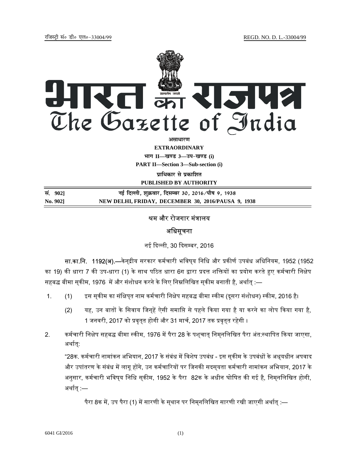

असाधारण

**EXTRAORDINARY Hkkx II—[k.M 3—mi&[k.M (i)**

**PART II—Section 3—Sub-section (i)** 

**प्राधिकार से प्रकाशित** 

**PUBLISHED BY AUTHORITY**

**la- 1002]** बाई दिल्ली, शुक्रवार, दिसम्बर 30, 2016/पौष 9, 1938 **No. 902] NEW DELHI, FRIDAY, DECEMBER 30, 2016/PAUSA 9, 1938**

# श्रम और रोजगार मंत्रालय

# अधिसूचना

नई दिल्ली, 30 दिसम्बर, 2016

सा.का.नि. 1192(अ).—केन्द्रीय सरकार कर्मचारी भविष्य निधि और प्रकीर्ण उपबंध अधिनियम, 1952 (1952 का 19) की धारा 7 की उप-धारा (1) के साथ पठित धारा 6ग द्वारा प्रदत्त शक्तियों का प्रयोग करते हुए कर्मचारी निक्षेप सहबद्ध बीमा सुकीम, 1976 में और संशोधन करने के लिए निम्नलिखित सुकीम बनाती है, अर्थात् :—

- 1. (1) इस स्कीम का संक्षिप्त नाम कर्मचारी निक्षेप सहबद्ध बीमा स्कीम (दूसरा संशोधन) स्कीम, 2016 है।
	- (2) यह, उन बातों के सिवाय जिन्**हें ऐसी समाप्ति से पहले किया गया है या** करने का लोप किया गया है, 1 जनवरी, 2017 को प्रवृत्त होगी और 31 मार्च, 2017 तक प्रवृत्त रहेगी ।
- 2. कर्मचारी निक्षेप सहबद्ध बीमा स्कीम, 1976 में पैरा 28 के पशुचात् निमुनलिखित पैरा अंत:स्थापित किया जाएगा, अर्थात:

"28क. कर्मचारी नामांकन अभियान, 2017 के संबंध में विशेष उपबंध - इस सुकीम के उपबंधों के अध्यधीन अपवाद और उपांतरण के संबंध में लागू होंगे, उन कर्मचारियों पर जिनकी सदस् $\,$ यता कर्मचारी नामांकन अभियान, 2017 के अनुसार, कर्मचारी भविष्य निधि स्कीम, 1952 के पैरा 82क के अधीन घोषित की गई है, निम्नलिखित होगी, अर्थात :—

पैरा 8क में, उप पैरा (1) में सारणी के सथान पर निमनलिखित सारणी रखी जाएगी अर्थात :—